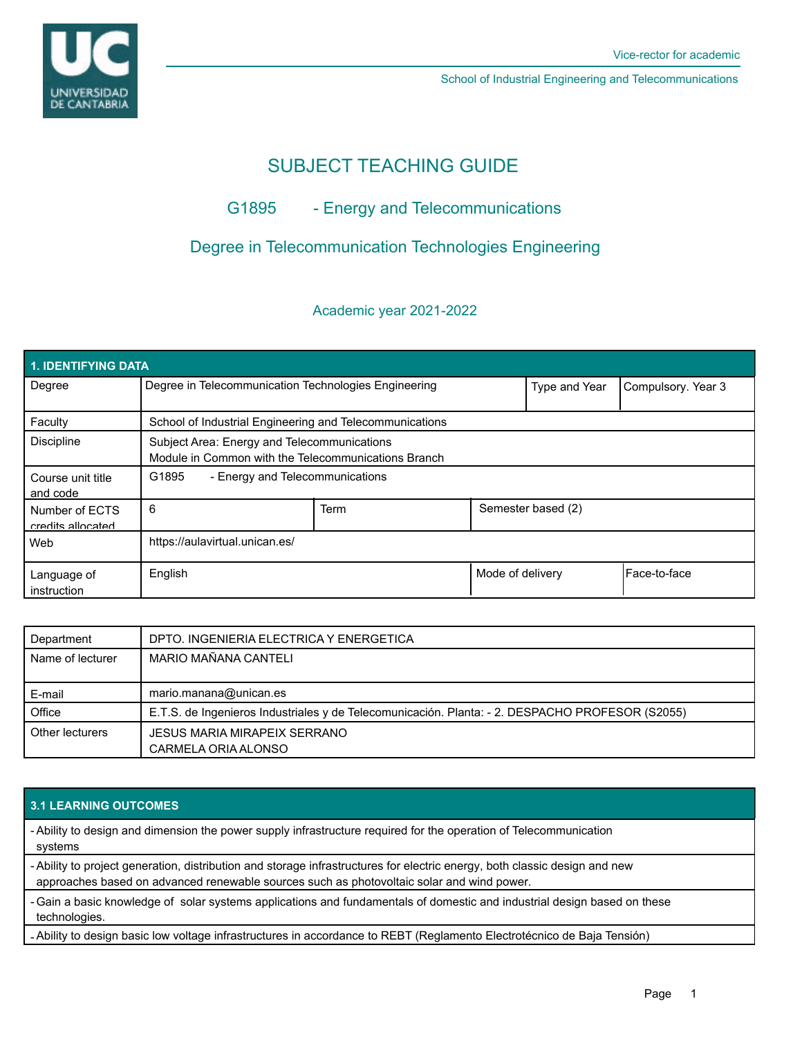

School of Industrial Engineering and Telecommunications

# SUBJECT TEACHING GUIDE

## G1895 - Energy and Telecommunications

## Degree in Telecommunication Technologies Engineering

## Academic year 2021-2022

| 1. IDENTIFYING DATA                 |                                                                                                    |      |                  |                    |              |  |  |  |
|-------------------------------------|----------------------------------------------------------------------------------------------------|------|------------------|--------------------|--------------|--|--|--|
| Degree                              | Degree in Telecommunication Technologies Engineering                                               |      | Type and Year    | Compulsory. Year 3 |              |  |  |  |
| Faculty                             | School of Industrial Engineering and Telecommunications                                            |      |                  |                    |              |  |  |  |
| <b>Discipline</b>                   | Subject Area: Energy and Telecommunications<br>Module in Common with the Telecommunications Branch |      |                  |                    |              |  |  |  |
| Course unit title<br>and code       | - Energy and Telecommunications<br>G1895                                                           |      |                  |                    |              |  |  |  |
| Number of ECTS<br>credits allocated | 6                                                                                                  | Term |                  | Semester based (2) |              |  |  |  |
| Web                                 | https://aulavirtual.unican.es/                                                                     |      |                  |                    |              |  |  |  |
| Language of<br>instruction          | English                                                                                            |      | Mode of delivery |                    | Face-to-face |  |  |  |

| Department       | DPTO. INGENIERIA ELECTRICA Y ENERGETICA                                                         |  |  |
|------------------|-------------------------------------------------------------------------------------------------|--|--|
| Name of lecturer | MARIO MAÑANA CANTELI                                                                            |  |  |
|                  |                                                                                                 |  |  |
| E-mail           | mario.manana@unican.es                                                                          |  |  |
| Office           | E.T.S. de Ingenieros Industriales y de Telecomunicación. Planta: - 2. DESPACHO PROFESOR (S2055) |  |  |
| Other lecturers  | JESUS MARIA MIRAPEIX SERRANO                                                                    |  |  |
|                  | CARMELA ORIA ALONSO                                                                             |  |  |

### **3.1 LEARNING OUTCOMES**

- Ability to design and dimension the power supply infrastructure required for the operation of Telecommunication systems

- Ability to project generation, distribution and storage infrastructures for electric energy, both classic design and new approaches based on advanced renewable sources such as photovoltaic solar and wind power.

- Gain a basic knowledge of solar systems applications and fundamentals of domestic and industrial design based on these technologies.

- Ability to design basic low voltage infrastructures in accordance to REBT (Reglamento Electrotécnico de Baja Tensión)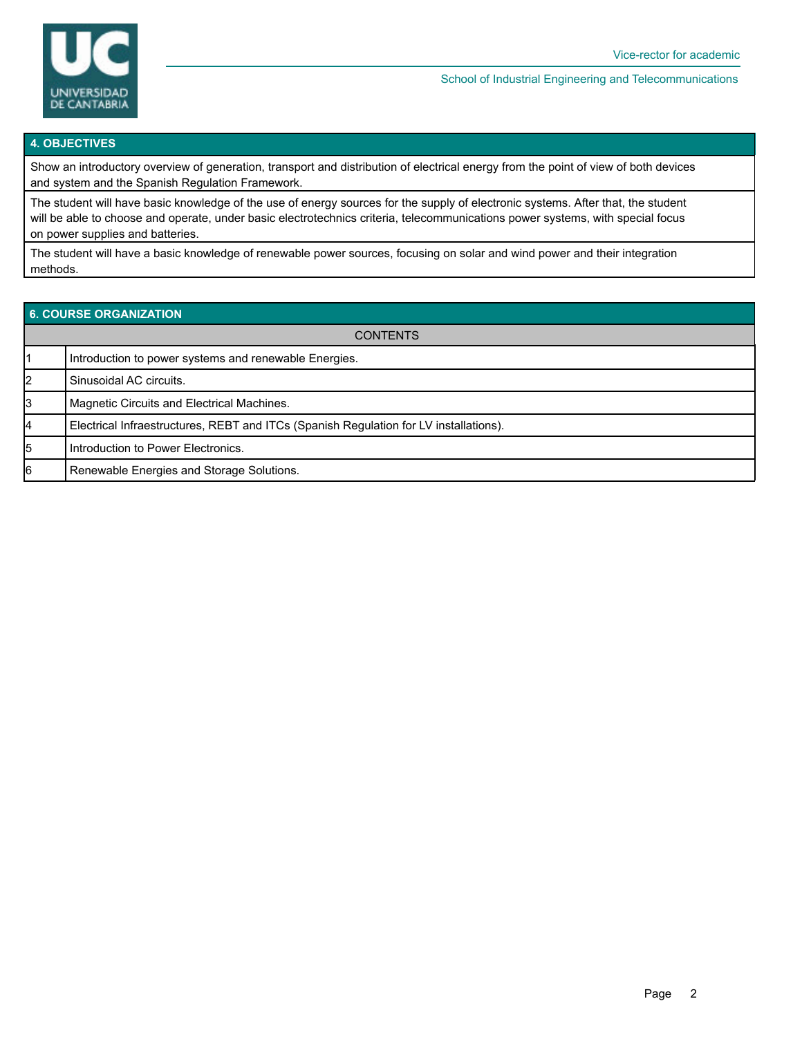

#### School of Industrial Engineering and Telecommunications

#### **4. OBJECTIVES**

Show an introductory overview of generation, transport and distribution of electrical energy from the point of view of both devices and system and the Spanish Regulation Framework.

The student will have basic knowledge of the use of energy sources for the supply of electronic systems. After that, the student will be able to choose and operate, under basic electrotechnics criteria, telecommunications power systems, with special focus on power supplies and batteries.

The student will have a basic knowledge of renewable power sources, focusing on solar and wind power and their integration methods.

| 6. COURSE ORGANIZATION |                                                                                       |  |  |  |
|------------------------|---------------------------------------------------------------------------------------|--|--|--|
| <b>CONTENTS</b>        |                                                                                       |  |  |  |
|                        | Introduction to power systems and renewable Energies.                                 |  |  |  |
| 2                      | Sinusoidal AC circuits.                                                               |  |  |  |
| 3                      | Magnetic Circuits and Electrical Machines.                                            |  |  |  |
| 14                     | Electrical Infraestructures, REBT and ITCs (Spanish Regulation for LV installations). |  |  |  |
| 5                      | Introduction to Power Electronics.                                                    |  |  |  |
| 16                     | Renewable Energies and Storage Solutions.                                             |  |  |  |